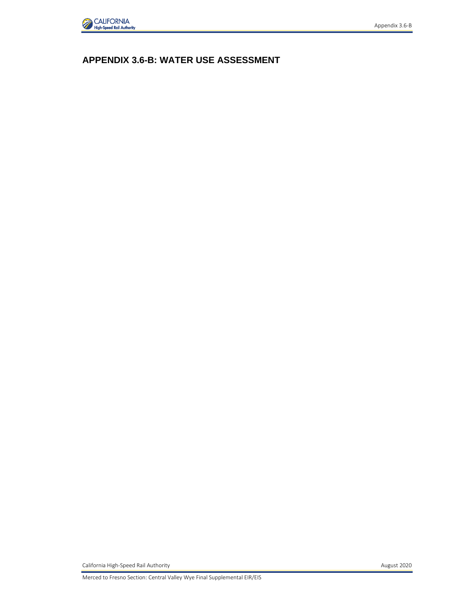

# **APPENDIX 3.6-B: WATER USE ASSESSMENT**

California High-Speed Rail Authority **August 2020**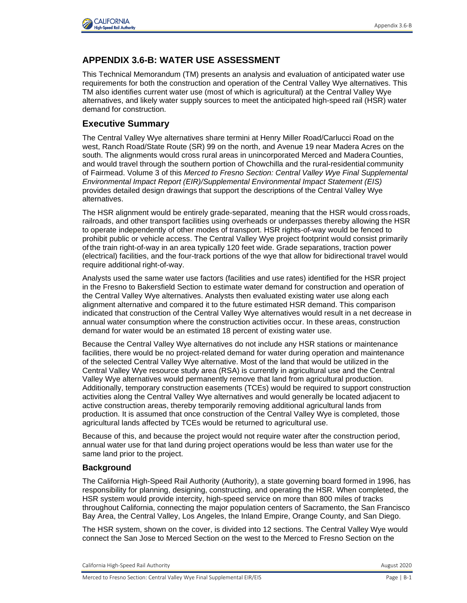

## **APPENDIX 3.6-B: WATER USE ASSESSMENT**

This Technical Memorandum (TM) presents an analysis and evaluation of anticipated water use requirements for both the construction and operation of the Central Valley Wye alternatives. This TM also identifies current water use (most of which is agricultural) at the Central Valley Wye alternatives, and likely water supply sources to meet the anticipated high-speed rail (HSR) water demand for construction.

### **Executive Summary**

The Central Valley Wye alternatives share termini at Henry Miller Road/Carlucci Road on the west, Ranch Road/State Route (SR) 99 on the north, and Avenue 19 near Madera Acres on the south. The alignments would cross rural areas in unincorporated Merced and Madera Counties, and would travel through the southern portion of Chowchilla and the rural-residential community of Fairmead. Volume 3 of this *Merced to Fresno Section: Central Valley Wye Final Supplemental Environmental Impact Report (EIR)/Supplemental Environmental Impact Statement (EIS)* provides detailed design drawings that support the descriptions of the Central Valley Wye alternatives.

The HSR alignment would be entirely grade-separated, meaning that the HSR would cross roads, railroads, and other transport facilities using overheads or underpasses thereby allowing the HSR to operate independently of other modes of transport. HSR rights-of-way would be fenced to prohibit public or vehicle access. The Central Valley Wye project footprint would consist primarily of the train right-of-way in an area typically 120 feet wide. Grade separations, traction power (electrical) facilities, and the four-track portions of the wye that allow for bidirectional travel would require additional right-of-way.

Analysts used the same water use factors (facilities and use rates) identified for the HSR project in the Fresno to Bakersfield Section to estimate water demand for construction and operation of the Central Valley Wye alternatives. Analysts then evaluated existing water use along each alignment alternative and compared it to the future estimated HSR demand. This comparison indicated that construction of the Central Valley Wye alternatives would result in a net decrease in annual water consumption where the construction activities occur. In these areas, construction demand for water would be an estimated 18 percent of existing water use.

Because the Central Valley Wye alternatives do not include any HSR stations or maintenance facilities, there would be no project-related demand for water during operation and maintenance of the selected Central Valley Wye alternative. Most of the land that would be utilized in the Central Valley Wye resource study area (RSA) is currently in agricultural use and the Central Valley Wye alternatives would permanently remove that land from agricultural production. Additionally, temporary construction easements (TCEs) would be required to support construction activities along the Central Valley Wye alternatives and would generally be located adjacent to active construction areas, thereby temporarily removing additional agricultural lands from production. It is assumed that once construction of the Central Valley Wye is completed, those agricultural lands affected by TCEs would be returned to agricultural use.

Because of this, and because the project would not require water after the construction period, annual water use for that land during project operations would be less than water use for the same land prior to the project.

#### **Background**

The California High-Speed Rail Authority (Authority), a state governing board formed in 1996, has responsibility for planning, designing, constructing, and operating the HSR. When completed, the HSR system would provide intercity, high-speed service on more than 800 miles of tracks throughout California, connecting the major population centers of Sacramento, the San Francisco Bay Area, the Central Valley, Los Angeles, the Inland Empire, Orange County, and San Diego.

The HSR system, shown on the cover, is divided into 12 sections. The Central Valley Wye would connect the San Jose to Merced Section on the west to the Merced to Fresno Section on the

California High-Speed Rail Authority **August 2020** 2020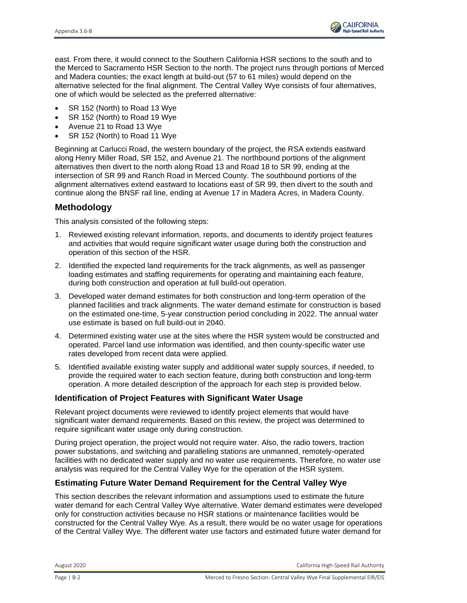

east. From there, it would connect to the Southern California HSR sections to the south and to the Merced to Sacramento HSR Section to the north. The project runs through portions of Merced and Madera counties; the exact length at build-out (57 to 61 miles) would depend on the alternative selected for the final alignment. The Central Valley Wye consists of four alternatives, one of which would be selected as the preferred alternative:

- SR 152 (North) to Road 13 Wye
- SR 152 (North) to Road 19 Wye
- Avenue 21 to Road 13 Wye
- SR 152 (North) to Road 11 Wye

Beginning at Carlucci Road, the western boundary of the project, the RSA extends eastward along Henry Miller Road, SR 152, and Avenue 21. The northbound portions of the alignment alternatives then divert to the north along Road 13 and Road 18 to SR 99, ending at the intersection of SR 99 and Ranch Road in Merced County. The southbound portions of the alignment alternatives extend eastward to locations east of SR 99, then divert to the south and continue along the BNSF rail line, ending at Avenue 17 in Madera Acres, in Madera County.

### **Methodology**

This analysis consisted of the following steps:

- 1. Reviewed existing relevant information, reports, and documents to identify project features and activities that would require significant water usage during both the construction and operation of this section of the HSR.
- 2. Identified the expected land requirements for the track alignments, as well as passenger loading estimates and staffing requirements for operating and maintaining each feature, during both construction and operation at full build-out operation.
- 3. Developed water demand estimates for both construction and long-term operation of the planned facilities and track alignments. The water demand estimate for construction is based on the estimated one-time, 5-year construction period concluding in 2022. The annual water use estimate is based on full build-out in 2040.
- 4. Determined existing water use at the sites where the HSR system would be constructed and operated. Parcel land use information was identified, and then county-specific water use rates developed from recent data were applied.
- 5. Identified available existing water supply and additional water supply sources, if needed, to provide the required water to each section feature, during both construction and long-term operation. A more detailed description of the approach for each step is provided below.

#### **Identification of Project Features with Significant Water Usage**

Relevant project documents were reviewed to identify project elements that would have significant water demand requirements. Based on this review, the project was determined to require significant water usage only during construction.

During project operation, the project would not require water. Also, the radio towers, traction power substations, and switching and paralleling stations are unmanned, remotely-operated facilities with no dedicated water supply and no water use requirements. Therefore, no water use analysis was required for the Central Valley Wye for the operation of the HSR system.

#### **Estimating Future Water Demand Requirement for the Central Valley Wye**

This section describes the relevant information and assumptions used to estimate the future water demand for each Central Valley Wye alternative. Water demand estimates were developed only for construction activities because no HSR stations or maintenance facilities would be constructed for the Central Valley Wye. As a result, there would be no water usage for operations of the Central Valley Wye. The different water use factors and estimated future water demand for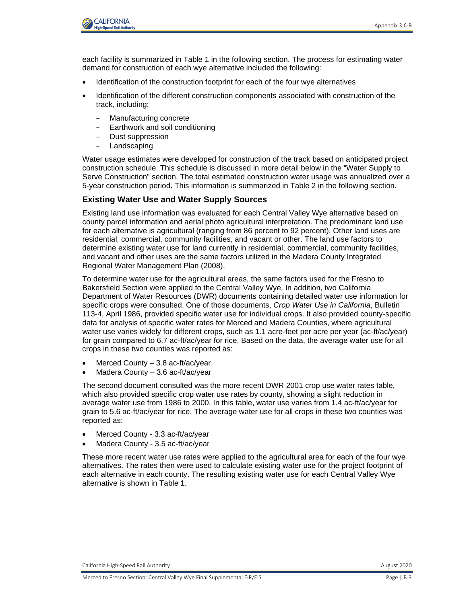

each facility is summarized in Table 1 in the following section. The process for estimating water demand for construction of each wye alternative included the following:

- Identification of the construction footprint for each of the four wye alternatives
- Identification of the different construction components associated with construction of the track, including:
	- Manufacturing concrete
	- Earthwork and soil conditioning
	- Dust suppression
	- Landscaping

Water usage estimates were developed for construction of the track based on anticipated project construction schedule. This schedule is discussed in more detail below in the "Water Supply to Serve Construction" section. The total estimated construction water usage was annualized over a 5-year construction period. This information is summarized in Table 2 in the following section.

#### **Existing Water Use and Water Supply Sources**

Existing land use information was evaluated for each Central Valley Wye alternative based on county parcel information and aerial photo agricultural interpretation. The predominant land use for each alternative is agricultural (ranging from 86 percent to 92 percent). Other land uses are residential, commercial, community facilities, and vacant or other. The land use factors to determine existing water use for land currently in residential, commercial, community facilities, and vacant and other uses are the same factors utilized in the Madera County Integrated Regional Water Management Plan (2008).

To determine water use for the agricultural areas, the same factors used for the Fresno to Bakersfield Section were applied to the Central Valley Wye. In addition, two California Department of Water Resources (DWR) documents containing detailed water use information for specific crops were consulted. One of those documents, *Crop Water Use in California*, Bulletin 113-4, April 1986, provided specific water use for individual crops. It also provided county-specific data for analysis of specific water rates for Merced and Madera Counties, where agricultural water use varies widely for different crops, such as 1.1 acre-feet per acre per year (ac-ft/ac/year) for grain compared to 6.7 ac-ft/ac/year for rice. Based on the data, the average water use for all crops in these two counties was reported as:

- Merced County  $-3.8$  ac-ft/ac/year
- Madera County 3.6 ac-ft/ac/year

The second document consulted was the more recent DWR 2001 crop use water rates table, which also provided specific crop water use rates by county, showing a slight reduction in average water use from 1986 to 2000. In this table, water use varies from 1.4 ac-ft/ac/year for grain to 5.6 ac-ft/ac/year for rice. The average water use for all crops in these two counties was reported as:

- Merced County 3.3 ac-ft/ac/year
- Madera County 3.5 ac-ft/ac/year

These more recent water use rates were applied to the agricultural area for each of the four wye alternatives. The rates then were used to calculate existing water use for the project footprint of each alternative in each county. The resulting existing water use for each Central Valley Wye alternative is shown in Table 1.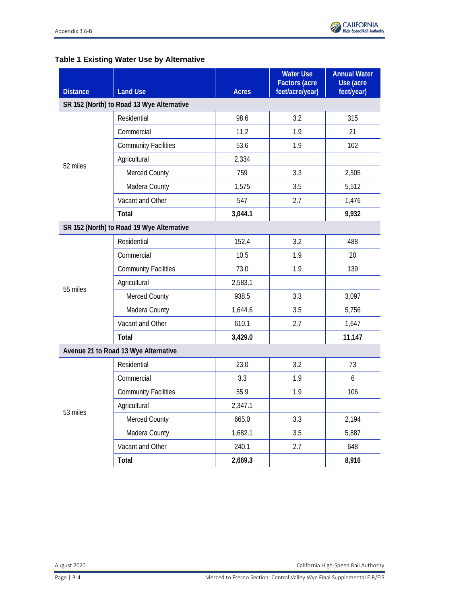#### **Table 1 Existing Water Use by Alternative**

| <b>Distance</b>                           | <b>Land Use</b>                           | <b>Acres</b> | <b>Water Use</b><br><b>Factors (acre</b><br>feet/acre/year) | <b>Annual Water</b><br>Use (acre<br>feet/year) |
|-------------------------------------------|-------------------------------------------|--------------|-------------------------------------------------------------|------------------------------------------------|
|                                           | SR 152 (North) to Road 13 Wye Alternative |              |                                                             |                                                |
|                                           | Residential                               | 98.6         | 3.2                                                         | 315                                            |
|                                           | Commercial                                | 11.2         | 1.9                                                         | 21                                             |
|                                           | <b>Community Facilities</b>               | 53.6         | 1.9                                                         | 102                                            |
|                                           | Agricultural                              | 2,334        |                                                             |                                                |
| 52 miles                                  | Merced County                             | 759          | 3.3                                                         | 2,505                                          |
|                                           | Madera County                             | 1,575        | 3.5                                                         | 5,512                                          |
|                                           | Vacant and Other                          | 547          | 2.7                                                         | 1,476                                          |
|                                           | Total                                     | 3,044.1      |                                                             | 9,932                                          |
| SR 152 (North) to Road 19 Wye Alternative |                                           |              |                                                             |                                                |
|                                           | Residential                               | 152.4        | 3.2                                                         | 488                                            |
|                                           | Commercial                                | 10.5         | 1.9                                                         | 20                                             |
|                                           | <b>Community Facilities</b>               | 73.0         | 1.9                                                         | 139                                            |
| 55 miles                                  | Agricultural                              | 2,583.1      |                                                             |                                                |
|                                           | Merced County                             | 938.5        | 3.3                                                         | 3,097                                          |
|                                           | Madera County                             | 1,644.6      | 3.5                                                         | 5,756                                          |
|                                           | Vacant and Other                          | 610.1        | 2.7                                                         | 1,647                                          |
|                                           | Total                                     | 3,429.0      |                                                             | 11,147                                         |
| Avenue 21 to Road 13 Wye Alternative      |                                           |              |                                                             |                                                |
|                                           | Residential                               | 23.0         | 3.2                                                         | 73                                             |
| 53 miles                                  | Commercial                                | 3.3          | 1.9                                                         | 6                                              |
|                                           | <b>Community Facilities</b>               | 55.9         | 1.9                                                         | 106                                            |
|                                           | Agricultural                              | 2,347.1      |                                                             |                                                |
|                                           | <b>Merced County</b>                      | 665.0        | 3.3                                                         | 2,194                                          |
|                                           | Madera County                             | 1,682.1      | 3.5                                                         | 5,887                                          |
|                                           | Vacant and Other                          | 240.1        | 2.7                                                         | 648                                            |
|                                           | Total                                     | 2,669.3      |                                                             | 8,916                                          |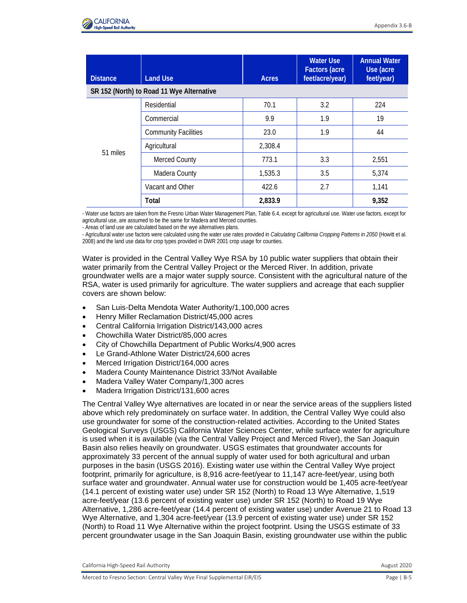

| <b>Distance</b> | <b>Land Use</b>                           | <b>Acres</b> | <b>Water Use</b><br><b>Factors (acre</b><br>feet/acre/year) | <b>Annual Water</b><br>Use (acre<br>feet/year) |
|-----------------|-------------------------------------------|--------------|-------------------------------------------------------------|------------------------------------------------|
|                 | SR 152 (North) to Road 11 Wye Alternative |              |                                                             |                                                |
| 51 miles        | Residential                               | 70.1         | 3.2                                                         | 224                                            |
|                 | Commercial                                | 9.9          | 1.9                                                         | 19                                             |
|                 | <b>Community Facilities</b>               | 23.0         | 1.9                                                         | 44                                             |
|                 | Agricultural                              | 2,308.4      |                                                             |                                                |
|                 | Merced County                             | 773.1        | 3.3                                                         | 2,551                                          |
|                 | Madera County                             | 1,535.3      | 3.5                                                         | 5,374                                          |
|                 | Vacant and Other                          | 422.6        | 2.7                                                         | 1,141                                          |
|                 | Total                                     | 2,833.9      |                                                             | 9,352                                          |

- Water use factors are taken from the Fresno Urban Water Management Plan, Table 6.4, except for agricultural use. Water use factors, except for agricultural use, are assumed to be the same for Madera and Merced counties.

- Areas of land use are calculated based on the wye alternatives plans.

- Agricultural water use factors were calculated using the water use rates provided in *Calculating California Cropping Patterns in 2050* (Howitt et al. 2008) and the land use data for crop types provided in DWR 2001 crop usage for counties.

Water is provided in the Central Valley Wye RSA by 10 public water suppliers that obtain their water primarily from the Central Valley Project or the Merced River. In addition, private groundwater wells are a major water supply source. Consistent with the agricultural nature of the RSA, water is used primarily for agriculture. The water suppliers and acreage that each supplier covers are shown below:

- San Luis-Delta Mendota Water Authority/1,100,000 acres
- Henry Miller Reclamation District/45,000 acres
- Central California Irrigation District/143,000 acres
- Chowchilla Water District/85,000 acres
- City of Chowchilla Department of Public Works/4,900 acres
- Le Grand-Athlone Water District/24,600 acres
- Merced Irrigation District/164,000 acres
- Madera County Maintenance District 33/Not Available
- Madera Valley Water Company/1,300 acres
- Madera Irrigation District/131,600 acres

The Central Valley Wye alternatives are located in or near the service areas of the suppliers listed above which rely predominately on surface water. In addition, the Central Valley Wye could also use groundwater for some of the construction-related activities. According to the United States Geological Surveys (USGS) California Water Sciences Center, while surface water for agriculture is used when it is available (via the Central Valley Project and Merced River), the San Joaquin Basin also relies heavily on groundwater. USGS estimates that groundwater accounts for approximately 33 percent of the annual supply of water used for both agricultural and urban purposes in the basin (USGS 2016). Existing water use within the Central Valley Wye project footprint, primarily for agriculture, is 8,916 acre-feet/year to 11,147 acre-feet/year, using both surface water and groundwater. Annual water use for construction would be 1,405 acre-feet/year (14.1 percent of existing water use) under SR 152 (North) to Road 13 Wye Alternative, 1,519 acre-feet/year (13.6 percent of existing water use) under SR 152 (North) to Road 19 Wye Alternative, 1,286 acre-feet/year (14.4 percent of existing water use) under Avenue 21 to Road 13 Wye Alternative, and 1,304 acre-feet/year (13.9 percent of existing water use) under SR 152 (North) to Road 11 Wye Alternative within the project footprint. Using the USGS estimate of 33 percent groundwater usage in the San Joaquin Basin, existing groundwater use within the public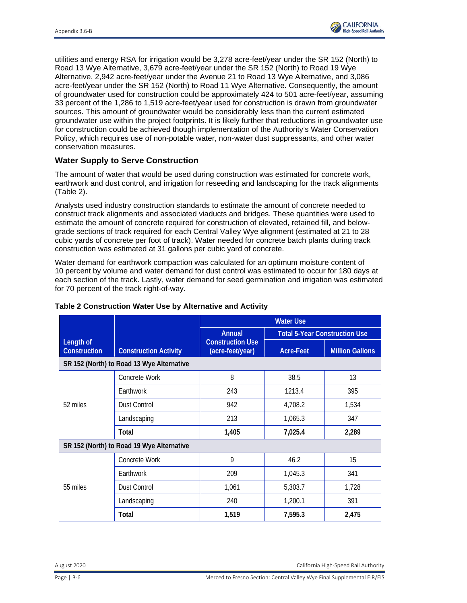

utilities and energy RSA for irrigation would be 3,278 acre-feet/year under the SR 152 (North) to Road 13 Wye Alternative, 3,679 acre-feet/year under the SR 152 (North) to Road 19 Wye Alternative, 2,942 acre-feet/year under the Avenue 21 to Road 13 Wye Alternative, and 3,086 acre-feet/year under the SR 152 (North) to Road 11 Wye Alternative. Consequently, the amount of groundwater used for construction could be approximately 424 to 501 acre-feet/year, assuming 33 percent of the 1,286 to 1,519 acre-feet/year used for construction is drawn from groundwater sources. This amount of groundwater would be considerably less than the current estimated groundwater use within the project footprints. It is likely further that reductions in groundwater use for construction could be achieved though implementation of the Authority's Water Conservation Policy, which requires use of non-potable water, non-water dust suppressants, and other water conservation measures.

#### **Water Supply to Serve Construction**

The amount of water that would be used during construction was estimated for concrete work, earthwork and dust control, and irrigation for reseeding and landscaping for the track alignments (Table 2).

Analysts used industry construction standards to estimate the amount of concrete needed to construct track alignments and associated viaducts and bridges. These quantities were used to estimate the amount of concrete required for construction of elevated, retained fill, and belowgrade sections of track required for each Central Valley Wye alignment (estimated at 21 to 28 cubic yards of concrete per foot of track). Water needed for concrete batch plants during track construction was estimated at 31 gallons per cubic yard of concrete.

Water demand for earthwork compaction was calculated for an optimum moisture content of 10 percent by volume and water demand for dust control was estimated to occur for 180 days at each section of the track. Lastly, water demand for seed germination and irrigation was estimated for 70 percent of the track right-of-way.

|                                           |                                           |                                             | <b>Water Use</b>                     |                        |  |
|-------------------------------------------|-------------------------------------------|---------------------------------------------|--------------------------------------|------------------------|--|
|                                           | <b>Construction Activity</b>              | <b>Annual</b>                               | <b>Total 5-Year Construction Use</b> |                        |  |
| Length of<br><b>Construction</b>          |                                           | <b>Construction Use</b><br>(acre-feet/year) | Acre-Feet                            | <b>Million Gallons</b> |  |
|                                           | SR 152 (North) to Road 13 Wye Alternative |                                             |                                      |                        |  |
| 52 miles                                  | Concrete Work                             | 8                                           | 38.5                                 | 13                     |  |
|                                           | Earthwork                                 | 243                                         | 1213.4                               | 395                    |  |
|                                           | <b>Dust Control</b>                       | 942                                         | 4,708.2                              | 1,534                  |  |
|                                           | Landscaping                               | 213                                         | 1,065.3                              | 347                    |  |
|                                           | Total                                     | 1,405                                       | 7,025.4                              | 2,289                  |  |
| SR 152 (North) to Road 19 Wye Alternative |                                           |                                             |                                      |                        |  |
| 55 miles                                  | Concrete Work                             | 9                                           | 46.2                                 | 15                     |  |
|                                           | Earthwork                                 | 209                                         | 1,045.3                              | 341                    |  |
|                                           | <b>Dust Control</b>                       | 1,061                                       | 5,303.7                              | 1,728                  |  |
|                                           | Landscaping                               | 240                                         | 1,200.1                              | 391                    |  |
|                                           | Total                                     | 1,519                                       | 7,595.3                              | 2,475                  |  |

#### **Table 2 Construction Water Use by Alternative and Activity**

August 2020 California High-Speed Rail Authority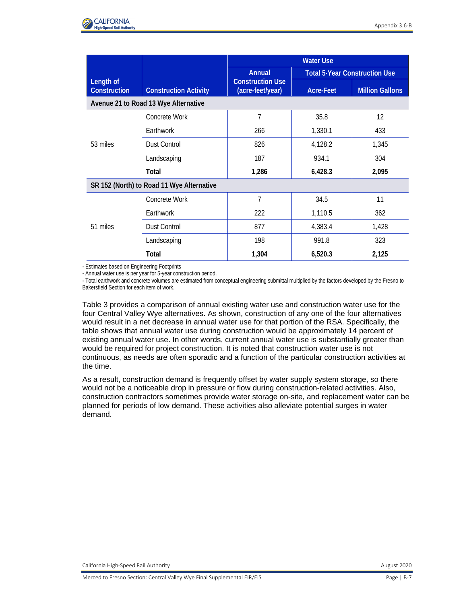

|                                           |                              |                                                       | <b>Water Use</b>                     |                        |
|-------------------------------------------|------------------------------|-------------------------------------------------------|--------------------------------------|------------------------|
| Length of<br>Construction                 | <b>Construction Activity</b> | Annual<br><b>Construction Use</b><br>(acre-feet/year) | <b>Total 5-Year Construction Use</b> |                        |
|                                           |                              |                                                       | Acre-Feet                            | <b>Million Gallons</b> |
| Avenue 21 to Road 13 Wye Alternative      |                              |                                                       |                                      |                        |
| 53 miles                                  | Concrete Work                | 7                                                     | 35.8                                 | 12                     |
|                                           | Earthwork                    | 266                                                   | 1,330.1                              | 433                    |
|                                           | <b>Dust Control</b>          | 826                                                   | 4,128.2                              | 1,345                  |
|                                           | Landscaping                  | 187                                                   | 934.1                                | 304                    |
|                                           | Total                        | 1,286                                                 | 6,428.3                              | 2,095                  |
| SR 152 (North) to Road 11 Wye Alternative |                              |                                                       |                                      |                        |
| 51 miles                                  | Concrete Work                | 7                                                     | 34.5                                 | 11                     |
|                                           | Earthwork                    | 222                                                   | 1,110.5                              | 362                    |
|                                           | <b>Dust Control</b>          | 877                                                   | 4,383.4                              | 1,428                  |
|                                           | Landscaping                  | 198                                                   | 991.8                                | 323                    |
|                                           | Total                        | 1,304                                                 | 6,520.3                              | 2,125                  |

- Estimates based on Engineering Footprints

- Annual water use is per year for 5-year construction period.

- Total earthwork and concrete volumes are estimated from conceptual engineering submittal multiplied by the factors developed by the Fresno to Bakersfield Section for each item of work.

Table 3 provides a comparison of annual existing water use and construction water use for the four Central Valley Wye alternatives. As shown, construction of any one of the four alternatives would result in a net decrease in annual water use for that portion of the RSA. Specifically, the table shows that annual water use during construction would be approximately 14 percent of existing annual water use. In other words, current annual water use is substantially greater than would be required for project construction. It is noted that construction water use is not continuous, as needs are often sporadic and a function of the particular construction activities at the time.

As a result, construction demand is frequently offset by water supply system storage, so there would not be a noticeable drop in pressure or flow during construction-related activities. Also, construction contractors sometimes provide water storage on-site, and replacement water can be planned for periods of low demand. These activities also alleviate potential surges in water demand.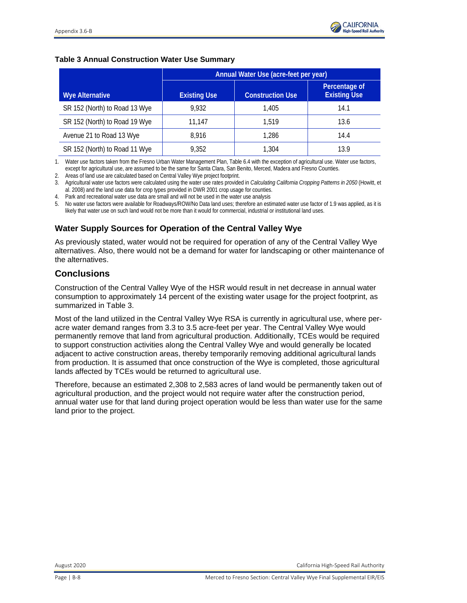#### **Table 3 Annual Construction Water Use Summary**

|                               | Annual Water Use (acre-feet per year) |                         |                                      |
|-------------------------------|---------------------------------------|-------------------------|--------------------------------------|
| <b>Wye Alternative</b>        | <b>Existing Use</b>                   | <b>Construction Use</b> | Percentage of<br><b>Existing Use</b> |
| SR 152 (North) to Road 13 Wye | 9.932                                 | 1.405                   | 14.1                                 |
| SR 152 (North) to Road 19 Wye | 11.147                                | 1.519                   | 13.6                                 |
| Avenue 21 to Road 13 Wye      | 8.916                                 | 1.286                   | 14.4                                 |
| SR 152 (North) to Road 11 Wye | 9,352                                 | 1,304                   | 13.9                                 |

1. Water use factors taken from the Fresno Urban Water Management Plan, Table 6.4 with the exception of agricultural use. Water use factors, except for agricultural use, are assumed to be the same for Santa Clara, San Benito, Merced, Madera and Fresno Counties.

2. Areas of land use are calculated based on Central Valley Wye project footprint.

3. Agricultural water use factors were calculated using the water use rates provided in *Calculating California Cropping Patterns in 2050* (Howitt, et al. 2008) and the land use data for crop types provided in DWR 2001 crop usage for counties.

4. Park and recreational water use data are small and will not be used in the water use analysis

5. No water use factors were available for Roadways/ROW/No Data land uses; therefore an estimated water use factor of 1.9 was applied, as it is likely that water use on such land would not be more than it would for commercial, industrial or institutional land uses.

### **Water Supply Sources for Operation of the Central Valley Wye**

As previously stated, water would not be required for operation of any of the Central Valley Wye alternatives. Also, there would not be a demand for water for landscaping or other maintenance of the alternatives.

#### **Conclusions**

Construction of the Central Valley Wye of the HSR would result in net decrease in annual water consumption to approximately 14 percent of the existing water usage for the project footprint, as summarized in Table 3.

Most of the land utilized in the Central Valley Wye RSA is currently in agricultural use, where peracre water demand ranges from 3.3 to 3.5 acre-feet per year. The Central Valley Wye would permanently remove that land from agricultural production. Additionally, TCEs would be required to support construction activities along the Central Valley Wye and would generally be located adjacent to active construction areas, thereby temporarily removing additional agricultural lands from production. It is assumed that once construction of the Wye is completed, those agricultural lands affected by TCEs would be returned to agricultural use.

Therefore, because an estimated 2,308 to 2,583 acres of land would be permanently taken out of agricultural production, and the project would not require water after the construction period, annual water use for that land during project operation would be less than water use for the same land prior to the project.

August 2020 California High-Speed Rail Authority